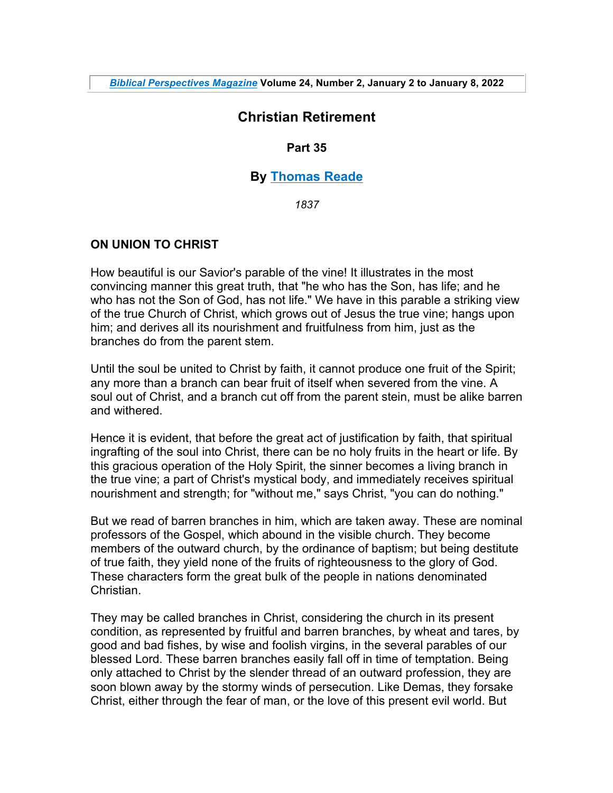# **Christian Retirement**

## **Part 35**

## **By Thomas Reade**

*1837*

## **ON UNION TO CHRIST**

How beautiful is our Savior's parable of the vine! It illustrates in the most convincing manner this great truth, that "he who has the Son, has life; and he who has not the Son of God, has not life." We have in this parable a striking view of the true Church of Christ, which grows out of Jesus the true vine; hangs upon him; and derives all its nourishment and fruitfulness from him, just as the branches do from the parent stem.

Until the soul be united to Christ by faith, it cannot produce one fruit of the Spirit; any more than a branch can bear fruit of itself when severed from the vine. A soul out of Christ, and a branch cut off from the parent stein, must be alike barren and withered.

Hence it is evident, that before the great act of justification by faith, that spiritual ingrafting of the soul into Christ, there can be no holy fruits in the heart or life. By this gracious operation of the Holy Spirit, the sinner becomes a living branch in the true vine; a part of Christ's mystical body, and immediately receives spiritual nourishment and strength; for "without me," says Christ, "you can do nothing."

But we read of barren branches in him, which are taken away. These are nominal professors of the Gospel, which abound in the visible church. They become members of the outward church, by the ordinance of baptism; but being destitute of true faith, they yield none of the fruits of righteousness to the glory of God. These characters form the great bulk of the people in nations denominated **Christian** 

They may be called branches in Christ, considering the church in its present condition, as represented by fruitful and barren branches, by wheat and tares, by good and bad fishes, by wise and foolish virgins, in the several parables of our blessed Lord. These barren branches easily fall off in time of temptation. Being only attached to Christ by the slender thread of an outward profession, they are soon blown away by the stormy winds of persecution. Like Demas, they forsake Christ, either through the fear of man, or the love of this present evil world. But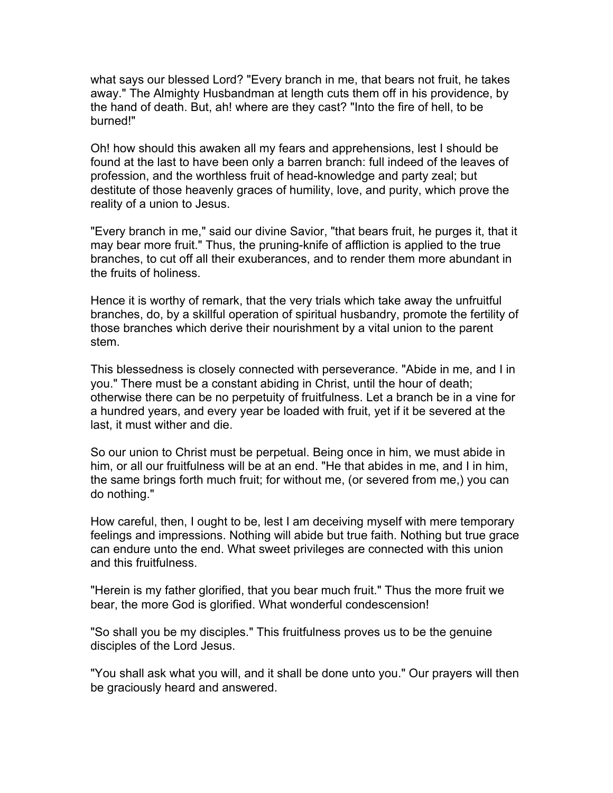what says our blessed Lord? "Every branch in me, that bears not fruit, he takes away." The Almighty Husbandman at length cuts them off in his providence, by the hand of death. But, ah! where are they cast? "Into the fire of hell, to be burned!"

Oh! how should this awaken all my fears and apprehensions, lest I should be found at the last to have been only a barren branch: full indeed of the leaves of profession, and the worthless fruit of head-knowledge and party zeal; but destitute of those heavenly graces of humility, love, and purity, which prove the reality of a union to Jesus.

"Every branch in me," said our divine Savior, "that bears fruit, he purges it, that it may bear more fruit." Thus, the pruning-knife of affliction is applied to the true branches, to cut off all their exuberances, and to render them more abundant in the fruits of holiness.

Hence it is worthy of remark, that the very trials which take away the unfruitful branches, do, by a skillful operation of spiritual husbandry, promote the fertility of those branches which derive their nourishment by a vital union to the parent stem.

This blessedness is closely connected with perseverance. "Abide in me, and I in you." There must be a constant abiding in Christ, until the hour of death; otherwise there can be no perpetuity of fruitfulness. Let a branch be in a vine for a hundred years, and every year be loaded with fruit, yet if it be severed at the last, it must wither and die.

So our union to Christ must be perpetual. Being once in him, we must abide in him, or all our fruitfulness will be at an end. "He that abides in me, and I in him, the same brings forth much fruit; for without me, (or severed from me,) you can do nothing."

How careful, then, I ought to be, lest I am deceiving myself with mere temporary feelings and impressions. Nothing will abide but true faith. Nothing but true grace can endure unto the end. What sweet privileges are connected with this union and this fruitfulness.

"Herein is my father glorified, that you bear much fruit." Thus the more fruit we bear, the more God is glorified. What wonderful condescension!

"So shall you be my disciples." This fruitfulness proves us to be the genuine disciples of the Lord Jesus.

"You shall ask what you will, and it shall be done unto you." Our prayers will then be graciously heard and answered.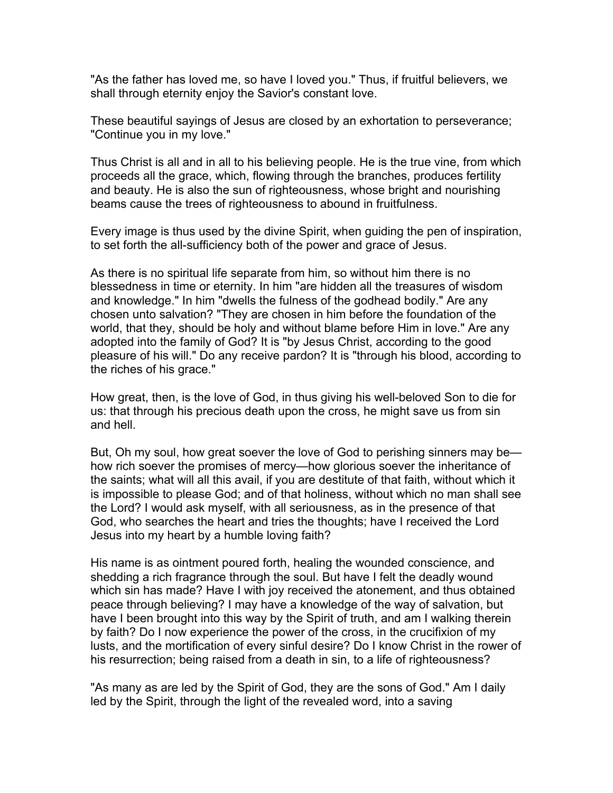"As the father has loved me, so have I loved you." Thus, if fruitful believers, we shall through eternity enjoy the Savior's constant love.

These beautiful sayings of Jesus are closed by an exhortation to perseverance; "Continue you in my love."

Thus Christ is all and in all to his believing people. He is the true vine, from which proceeds all the grace, which, flowing through the branches, produces fertility and beauty. He is also the sun of righteousness, whose bright and nourishing beams cause the trees of righteousness to abound in fruitfulness.

Every image is thus used by the divine Spirit, when guiding the pen of inspiration, to set forth the all-sufficiency both of the power and grace of Jesus.

As there is no spiritual life separate from him, so without him there is no blessedness in time or eternity. In him "are hidden all the treasures of wisdom and knowledge." In him "dwells the fulness of the godhead bodily." Are any chosen unto salvation? "They are chosen in him before the foundation of the world, that they, should be holy and without blame before Him in love." Are any adopted into the family of God? It is "by Jesus Christ, according to the good pleasure of his will." Do any receive pardon? It is "through his blood, according to the riches of his grace."

How great, then, is the love of God, in thus giving his well-beloved Son to die for us: that through his precious death upon the cross, he might save us from sin and hell.

But, Oh my soul, how great soever the love of God to perishing sinners may be how rich soever the promises of mercy—how glorious soever the inheritance of the saints; what will all this avail, if you are destitute of that faith, without which it is impossible to please God; and of that holiness, without which no man shall see the Lord? I would ask myself, with all seriousness, as in the presence of that God, who searches the heart and tries the thoughts; have I received the Lord Jesus into my heart by a humble loving faith?

His name is as ointment poured forth, healing the wounded conscience, and shedding a rich fragrance through the soul. But have I felt the deadly wound which sin has made? Have I with joy received the atonement, and thus obtained peace through believing? I may have a knowledge of the way of salvation, but have I been brought into this way by the Spirit of truth, and am I walking therein by faith? Do I now experience the power of the cross, in the crucifixion of my lusts, and the mortification of every sinful desire? Do I know Christ in the rower of his resurrection; being raised from a death in sin, to a life of righteousness?

"As many as are led by the Spirit of God, they are the sons of God." Am I daily led by the Spirit, through the light of the revealed word, into a saving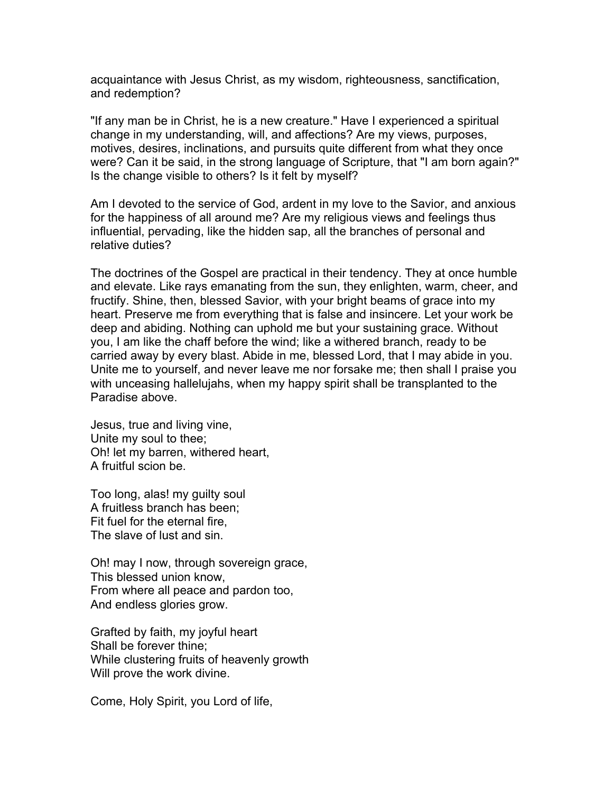acquaintance with Jesus Christ, as my wisdom, righteousness, sanctification, and redemption?

"If any man be in Christ, he is a new creature." Have I experienced a spiritual change in my understanding, will, and affections? Are my views, purposes, motives, desires, inclinations, and pursuits quite different from what they once were? Can it be said, in the strong language of Scripture, that "I am born again?" Is the change visible to others? Is it felt by myself?

Am I devoted to the service of God, ardent in my love to the Savior, and anxious for the happiness of all around me? Are my religious views and feelings thus influential, pervading, like the hidden sap, all the branches of personal and relative duties?

The doctrines of the Gospel are practical in their tendency. They at once humble and elevate. Like rays emanating from the sun, they enlighten, warm, cheer, and fructify. Shine, then, blessed Savior, with your bright beams of grace into my heart. Preserve me from everything that is false and insincere. Let your work be deep and abiding. Nothing can uphold me but your sustaining grace. Without you, I am like the chaff before the wind; like a withered branch, ready to be carried away by every blast. Abide in me, blessed Lord, that I may abide in you. Unite me to yourself, and never leave me nor forsake me; then shall I praise you with unceasing hallelujahs, when my happy spirit shall be transplanted to the Paradise above.

Jesus, true and living vine, Unite my soul to thee; Oh! let my barren, withered heart, A fruitful scion be.

Too long, alas! my guilty soul A fruitless branch has been; Fit fuel for the eternal fire, The slave of lust and sin.

Oh! may I now, through sovereign grace, This blessed union know, From where all peace and pardon too, And endless glories grow.

Grafted by faith, my joyful heart Shall be forever thine; While clustering fruits of heavenly growth Will prove the work divine.

Come, Holy Spirit, you Lord of life,